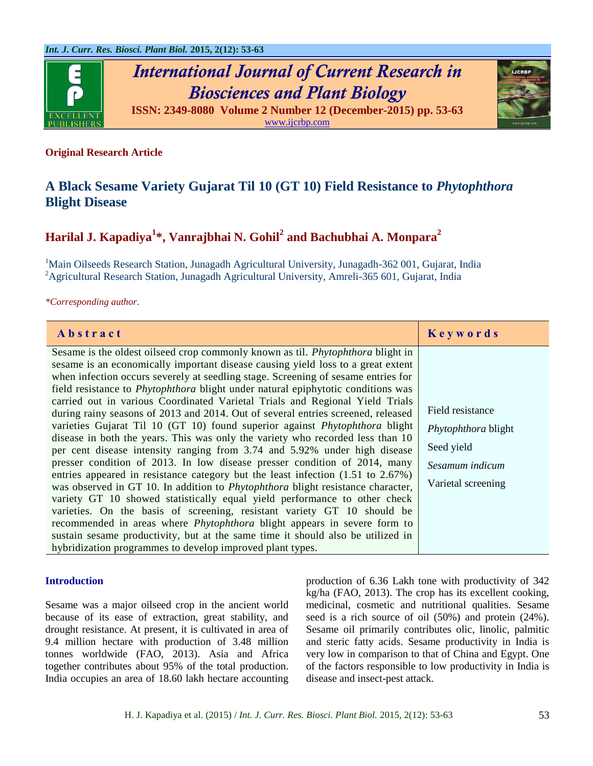

*International Journal of Current Research in Biosciences and Plant Biology* **ISSN: 2349-8080 Volume 2 Number 12 (December-2015) pp. 53-63**



[www.ijcrbp.com](http://www.ijcrbp.com/)

# **Original Research Article**

# **A Black Sesame Variety Gujarat Til 10 (GT 10) Field Resistance to** *Phytophthora* **Blight Disease**

# **Harilal J. Kapadiya<sup>1</sup> \*, Vanrajbhai N. Gohil<sup>2</sup> and Bachubhai A. Monpara<sup>2</sup>**

<sup>1</sup>Main Oilseeds Research Station, Junagadh Agricultural University, Junagadh-362 001, Gujarat, India <sup>2</sup> Agricultural Research Station, Junagadh Agricultural University, Amreli-365 601, Gujarat, India

*\*Corresponding author.*

| Abstract                                                                                                                                                                                                                                                                                                                                                                                                                                                                                                                                                                                                                                                                                                                                                                                                                                                                                                                                                                                                                                                                                                                                                                                                                                                                                                                                                                                                                          | Keywords                                                                                       |
|-----------------------------------------------------------------------------------------------------------------------------------------------------------------------------------------------------------------------------------------------------------------------------------------------------------------------------------------------------------------------------------------------------------------------------------------------------------------------------------------------------------------------------------------------------------------------------------------------------------------------------------------------------------------------------------------------------------------------------------------------------------------------------------------------------------------------------------------------------------------------------------------------------------------------------------------------------------------------------------------------------------------------------------------------------------------------------------------------------------------------------------------------------------------------------------------------------------------------------------------------------------------------------------------------------------------------------------------------------------------------------------------------------------------------------------|------------------------------------------------------------------------------------------------|
| Sesame is the oldest oilseed crop commonly known as til. Phytophthora blight in<br>sesame is an economically important disease causing yield loss to a great extent<br>when infection occurs severely at seedling stage. Screening of sesame entries for<br>field resistance to <i>Phytophthora</i> blight under natural epiphytotic conditions was<br>carried out in various Coordinated Varietal Trials and Regional Yield Trials<br>during rainy seasons of 2013 and 2014. Out of several entries screened, released<br>varieties Gujarat Til 10 (GT 10) found superior against <i>Phytophthora</i> blight<br>disease in both the years. This was only the variety who recorded less than 10<br>per cent disease intensity ranging from 3.74 and 5.92% under high disease<br>presser condition of 2013. In low disease presser condition of 2014, many<br>entries appeared in resistance category but the least infection (1.51 to 2.67%)<br>was observed in GT 10. In addition to <i>Phytophthora</i> blight resistance character,<br>variety GT 10 showed statistically equal yield performance to other check<br>varieties. On the basis of screening, resistant variety GT 10 should be<br>recommended in areas where <i>Phytophthora</i> blight appears in severe form to<br>sustain sesame productivity, but at the same time it should also be utilized in<br>hybridization programmes to develop improved plant types. | Field resistance<br>Phytophthora blight<br>Seed yield<br>Sesamum indicum<br>Varietal screening |

## **Introduction**

Sesame was a major oilseed crop in the ancient world because of its ease of extraction, great stability, and drought resistance. At present, it is cultivated in area of 9.4 million hectare with production of 3.48 million tonnes worldwide (FAO, 2013). Asia and Africa together contributes about 95% of the total production. India occupies an area of 18.60 lakh hectare accounting production of 6.36 Lakh tone with productivity of 342 kg/ha (FAO, 2013). The crop has its excellent cooking, medicinal, cosmetic and nutritional qualities. Sesame seed is a rich source of oil (50%) and protein (24%). Sesame oil primarily contributes olic, linolic, palmitic and steric fatty acids. Sesame productivity in India is very low in comparison to that of China and Egypt. One of the factors responsible to low productivity in India is disease and insect-pest attack.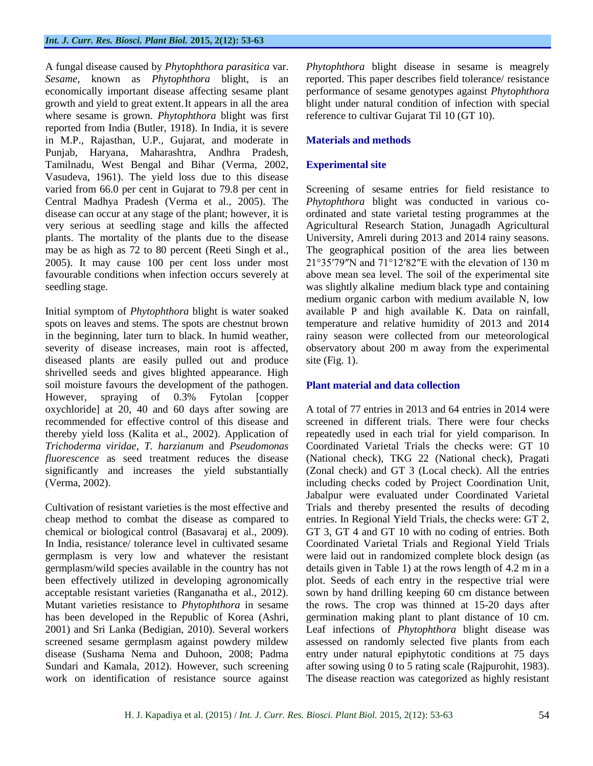## *Int. J. Curr. Res. Biosci. Plant Biol.* **2015, 2(12): 53-63**

A fungal disease caused by *Phytophthora parasitica* var. *Sesame*, known as *Phytophthora* blight, is an economically important disease affecting sesame plant growth and yield to great extent.It appears in all the area where sesame is grown. *Phytophthora* blight was first reported from India (Butler, 1918). In India, it is severe in M.P., Rajasthan, U.P., Gujarat, and moderate in Punjab, Haryana, Maharashtra, Andhra Pradesh, Tamilnadu, West Bengal and Bihar (Verma, 2002, Vasudeva, 1961). The yield loss due to this disease varied from 66.0 per cent in Gujarat to 79.8 per cent in Central Madhya Pradesh (Verma et al., 2005). The disease can occur at any stage of the plant; however, it is very serious at seedling stage and kills the affected plants. The mortality of the plants due to the disease may be as high as 72 to 80 percent (Reeti Singh et al., 2005). It may cause 100 per cent loss under most favourable conditions when infection occurs severely at seedling stage.

Initial symptom of *Phytophthora* blight is water soaked spots on leaves and stems. The spots are chestnut brown in the beginning, later turn to black. In humid weather, severity of disease increases, main root is affected, diseased plants are easily pulled out and produce shrivelled seeds and gives blighted appearance. High soil moisture favours the development of the pathogen. However, spraying of 0.3% Fytolan [copper oxychloride] at 20, 40 and 60 days after sowing are recommended for effective control of this disease and thereby yield loss (Kalita et al., 2002). Application of *Trichoderma viridae*, *T. harzianum* and *Pseudomonas fluorescence* as seed treatment reduces the disease significantly and increases the yield substantially (Verma, 2002).

Cultivation of resistant varieties is the most effective and cheap method to combat the disease as compared to chemical or biological control (Basavaraj et al., 2009). In India, resistance/ tolerance level in cultivated sesame germplasm is very low and whatever the resistant germplasm/wild species available in the country has not been effectively utilized in developing agronomically acceptable resistant varieties (Ranganatha et al., 2012). Mutant varieties resistance to *Phytophthora* in sesame has been developed in the Republic of Korea (Ashri, 2001) and Sri Lanka (Bedigian, 2010). Several workers screened sesame germplasm against powdery mildew disease (Sushama Nema and Duhoon, 2008; Padma Sundari and Kamala, 2012). However, such screening work on identification of resistance source against *Phytophthora* blight disease in sesame is meagrely reported. This paper describes field tolerance/ resistance performance of sesame genotypes against *Phytophthora* blight under natural condition of infection with special reference to cultivar Gujarat Til 10 (GT 10).

# **Materials and methods**

# **Experimental site**

Screening of sesame entries for field resistance to *Phytophthora* blight was conducted in various coordinated and state varietal testing programmes at the Agricultural Research Station, Junagadh Agricultural University, Amreli during 2013 and 2014 rainy seasons. The geographical position of the area lies between 21°35′79″N and 71°12′82″E with the elevation of 130 m above mean sea level. The soil of the experimental site was slightly alkaline medium black type and containing medium organic carbon with medium available N, low available P and high available K. Data on rainfall, temperature and relative humidity of 2013 and 2014 rainy season were collected from our meteorological observatory about 200 m away from the experimental site (Fig. 1).

# **Plant material and data collection**

A total of 77 entries in 2013 and 64 entries in 2014 were screened in different trials. There were four checks repeatedly used in each trial for yield comparison. In Coordinated Varietal Trials the checks were: GT 10 (National check), TKG 22 (National check), Pragati (Zonal check) and GT 3 (Local check). All the entries including checks coded by Project Coordination Unit, Jabalpur were evaluated under Coordinated Varietal Trials and thereby presented the results of decoding entries. In Regional Yield Trials, the checks were: GT 2, GT 3, GT 4 and GT 10 with no coding of entries. Both Coordinated Varietal Trials and Regional Yield Trials were laid out in randomized complete block design (as details given in Table 1) at the rows length of 4.2 m in a plot. Seeds of each entry in the respective trial were sown by hand drilling keeping 60 cm distance between the rows. The crop was thinned at 15-20 days after germination making plant to plant distance of 10 cm. Leaf infections of *Phytophthora* blight disease was assessed on randomly selected five plants from each entry under natural epiphytotic conditions at 75 days after sowing using 0 to 5 rating scale (Rajpurohit, 1983). The disease reaction was categorized as highly resistant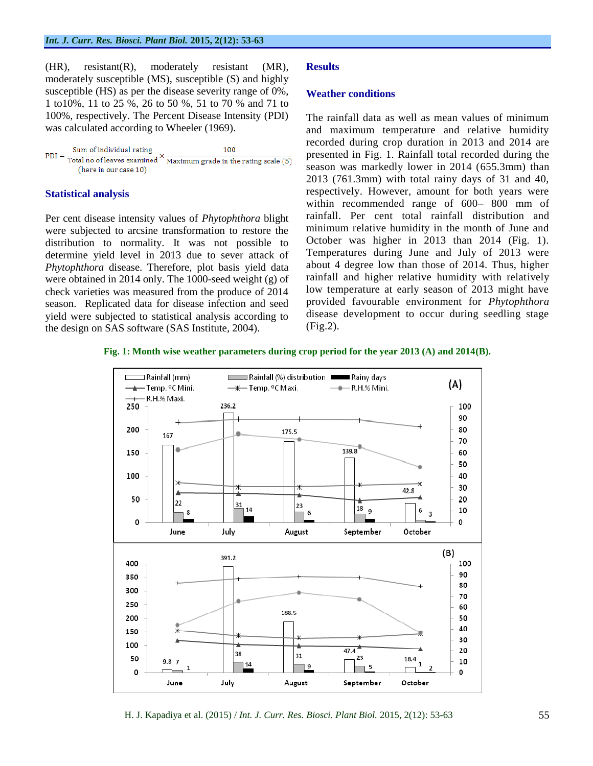(HR), resistant(R), moderately resistant (MR), moderately susceptible (MS), susceptible (S) and highly susceptible (HS) as per the disease severity range of 0%, 1 to10%, 11 to 25 %, 26 to 50 %, 51 to 70 % and 71 to 100%, respectively. The Percent Disease Intensity (PDI) was calculated according to Wheeler (1969).

| Sum of individual rating<br>$PDI =$ | 100                                                                                             |
|-------------------------------------|-------------------------------------------------------------------------------------------------|
|                                     | $\sqrt{1 - 1}$ Total no of leaves examined $\sqrt{1 - 1}$ Maximum grade in the rating scale (5) |
| (here in our case 10)               |                                                                                                 |

# **Statistical analysis**

Per cent disease intensity values of *Phytophthora* blight were subjected to arcsine transformation to restore the distribution to normality. It was not possible to determine yield level in 2013 due to sever attack of *Phytophthora* disease. Therefore, plot basis yield data were obtained in 2014 only. The 1000-seed weight (g) of check varieties was measured from the produce of 2014 season. Replicated data for disease infection and seed yield were subjected to statistical analysis according to the design on SAS software (SAS Institute, 2004).

# **Results**

## **Weather conditions**

The rainfall data as well as mean values of minimum and maximum temperature and relative humidity recorded during crop duration in 2013 and 2014 are presented in Fig. 1. Rainfall total recorded during the season was markedly lower in 2014 (655.3mm) than 2013 (761.3mm) with total rainy days of 31 and 40, respectively. However, amount for both years were within recommended range of 600– 800 mm of rainfall. Per cent total rainfall distribution and minimum relative humidity in the month of June and October was higher in 2013 than 2014 (Fig. 1). Temperatures during June and July of 2013 were about 4 degree low than those of 2014. Thus, higher rainfall and higher relative humidity with relatively low temperature at early season of 2013 might have provided favourable environment for *Phytophthora* disease development to occur during seedling stage (Fig.2).

## **Fig. 1: Month wise weather parameters during crop period for the year 2013 (A) and 2014(B).**



H. J. Kapadiya et al. (2015) / *Int. J. Curr. Res. Biosci. Plant Biol.* 2015, 2(12): 53-63 55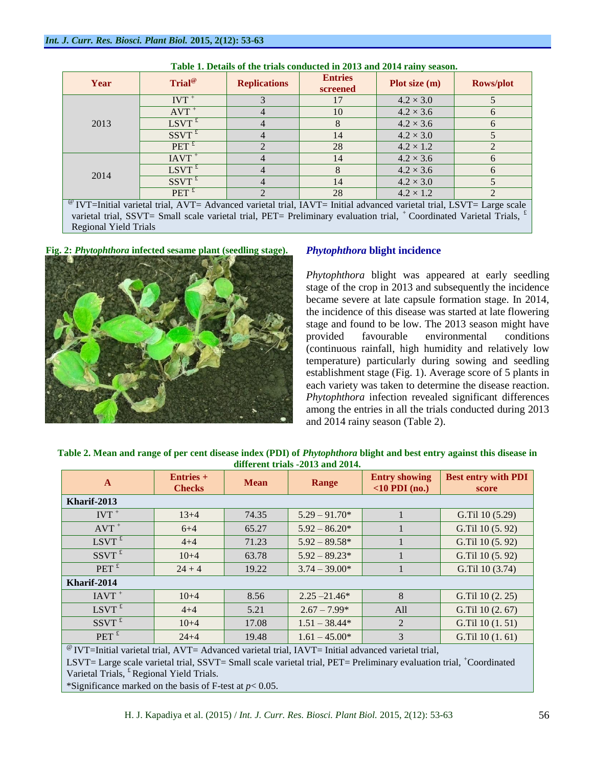| Year | Trial <sup>@</sup>                                                                                                            | <b>Replications</b> | <b>Entries</b><br>screened | Plot size $(m)$  | <b>Rows/plot</b>  |
|------|-------------------------------------------------------------------------------------------------------------------------------|---------------------|----------------------------|------------------|-------------------|
|      | $IVT^+$                                                                                                                       |                     | 17                         | $4.2 \times 3.0$ |                   |
|      | $AVT^+$                                                                                                                       | 4                   | 10                         | $4.2 \times 3.6$ | $\mathsf{\Omega}$ |
| 2013 | $LSVT$ <sup>£</sup>                                                                                                           | 4                   |                            | $4.2 \times 3.6$ | $\mathsf{f}$      |
|      | $SSVT^t$                                                                                                                      | 4                   | 14                         | $4.2 \times 3.0$ |                   |
|      | $PET$ <sup>£</sup>                                                                                                            |                     | 28                         | $4.2 \times 1.2$ |                   |
|      | $IAVT$ <sup>+</sup>                                                                                                           |                     | 14                         | $4.2 \times 3.6$ |                   |
| 2014 | $LSVT^t$                                                                                                                      |                     |                            | $4.2 \times 3.6$ | $\mathsf{\Omega}$ |
|      | $SSVT^t$                                                                                                                      |                     | 14                         | $4.2 \times 3.0$ |                   |
|      | $PET$ <sup>£</sup>                                                                                                            |                     | 28                         | $4.2 \times 1.2$ |                   |
|      | $^{\circ}$ IVT=Initial varietal trial, AVT= Advanced varietal trial, IAVT= Initial advanced varietal trial, LSVT= Large scale |                     |                            |                  |                   |

| Table 1. Details of the trials conducted in 2013 and 2014 rainy season. |  |
|-------------------------------------------------------------------------|--|
|                                                                         |  |

varietal trial, SSVT= Small scale varietal trial, PET= Preliminary evaluation trial,  $^+$ Coordinated Varietal Trials,  $^{\text{f}}$ Regional Yield Trials

**Fig. 2:** *Phytophthora* **infected sesame plant (seedling stage).** *Phytophthora* **blight incidence**



*Phytophthora* blight was appeared at early seedling stage of the crop in 2013 and subsequently the incidence became severe at late capsule formation stage. In 2014, the incidence of this disease was started at late flowering stage and found to be low. The 2013 season might have provided favourable environmental conditions (continuous rainfall, high humidity and relatively low temperature) particularly during sowing and seedling establishment stage (Fig. 1). Average score of 5 plants in each variety was taken to determine the disease reaction. *Phytophthora* infection revealed significant differences among the entries in all the trials conducted during 2013 and 2014 rainy season (Table 2).

| umerent trials -2015 and 2014.                                                                                      |          |             |                 |                                                |                                     |  |  |  |
|---------------------------------------------------------------------------------------------------------------------|----------|-------------|-----------------|------------------------------------------------|-------------------------------------|--|--|--|
| <b>Entries</b> +<br>$\mathbf{A}$<br><b>Checks</b>                                                                   |          | <b>Mean</b> | Range           | <b>Entry showing</b><br>$\langle$ 10 PDI (no.) | <b>Best entry with PDI</b><br>score |  |  |  |
| Kharif-2013                                                                                                         |          |             |                 |                                                |                                     |  |  |  |
| $IVT^+$                                                                                                             | $13+4$   | 74.35       | $5.29 - 91.70*$ |                                                | G.Til 10 (5.29)                     |  |  |  |
| $AVT$ <sup>+</sup>                                                                                                  | $6 + 4$  | 65.27       | $5.92 - 86.20*$ | 1                                              | G.Til 10 (5.92)                     |  |  |  |
| $LSVT$ <sup>£</sup>                                                                                                 | $4 + 4$  | 71.23       | $5.92 - 89.58*$ |                                                | G.Til 10 (5.92)                     |  |  |  |
| $SSVT$ <sup>£</sup>                                                                                                 | $10+4$   | 63.78       | $5.92 - 89.23*$ |                                                | G.Til 10 (5.92)                     |  |  |  |
| $PET$ <sup><math>\overline{t}</math></sup>                                                                          | $24 + 4$ | 19.22       | $3.74 - 39.00*$ |                                                | G.Til 10 (3.74)                     |  |  |  |
| Kharif-2014                                                                                                         |          |             |                 |                                                |                                     |  |  |  |
| $IAVT$ <sup>+</sup>                                                                                                 | $10+4$   | 8.56        | $2.25 - 21.46*$ | 8                                              | G.Til 10 (2. 25)                    |  |  |  |
| $LSVT$ <sup>£</sup>                                                                                                 | $4 + 4$  | 5.21        | $2.67 - 7.99*$  | All                                            | G.Til 10 (2.67)                     |  |  |  |
| $SSVT^{\frac{1}{k}}$                                                                                                | $10+4$   | 17.08       | $1.51 - 38.44*$ | 2                                              | G.Til 10 (1.51)                     |  |  |  |
| $PET$ <sup>£</sup>                                                                                                  | $24 + 4$ | 19.48       | $1.61 - 45.00*$ | 3                                              | G.Til 10 (1.61)                     |  |  |  |
| $\mathcal{Q}$ type to $U(1)$ and $U(1)$ and $U(2)$ and $U(3)$ are equal to $U(1)$ that $U(2)$ and $U(3)$ and $U(4)$ |          |             |                 |                                                |                                     |  |  |  |

**Table 2. Mean and range of per cent disease index (PDI) of** *Phytophthora* **blight and best entry against this disease in different trials -2013 and 2014.**

@ IVT=Initial varietal trial, AVT= Advanced varietal trial, IAVT= Initial advanced varietal trial,

LSVT= Large scale varietal trial, SSVT= Small scale varietal trial, PET= Preliminary evaluation trial, +Coordinated Varietal Trials, <sup>£</sup> Regional Yield Trials.

\*Significance marked on the basis of F-test at *p*< 0.05.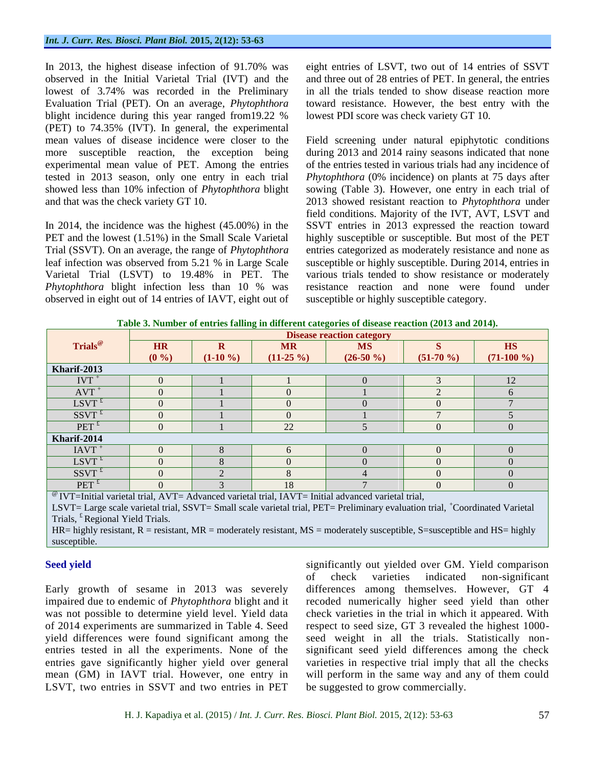In 2013, the highest disease infection of 91.70% was observed in the Initial Varietal Trial (IVT) and the lowest of 3.74% was recorded in the Preliminary Evaluation Trial (PET). On an average, *Phytophthora* blight incidence during this year ranged from19.22 % (PET) to 74.35% (IVT). In general, the experimental mean values of disease incidence were closer to the more susceptible reaction, the exception being experimental mean value of PET. Among the entries tested in 2013 season, only one entry in each trial showed less than 10% infection of *Phytophthora* blight and that was the check variety GT 10.

In 2014, the incidence was the highest (45.00%) in the PET and the lowest (1.51%) in the Small Scale Varietal Trial (SSVT). On an average, the range of *Phytophthora* leaf infection was observed from 5.21 % in Large Scale Varietal Trial (LSVT) to 19.48% in PET. The *Phytophthora* blight infection less than 10 % was observed in eight out of 14 entries of IAVT, eight out of eight entries of LSVT, two out of 14 entries of SSVT and three out of 28 entries of PET. In general, the entries in all the trials tended to show disease reaction more toward resistance. However, the best entry with the lowest PDI score was check variety GT 10.

Field screening under natural epiphytotic conditions during 2013 and 2014 rainy seasons indicated that none of the entries tested in various trials had any incidence of *Phytophthora* (0% incidence) on plants at 75 days after sowing (Table 3). However, one entry in each trial of 2013 showed resistant reaction to *Phytophthora* under field conditions. Majority of the IVT, AVT, LSVT and SSVT entries in 2013 expressed the reaction toward highly susceptible or susceptible. But most of the PET entries categorized as moderately resistance and none as susceptible or highly susceptible. During 2014, entries in various trials tended to show resistance or moderately resistance reaction and none were found under susceptible or highly susceptible category.

|  |  |  | Table 3. Number of entries falling in different categories of disease reaction (2013 and 2014). |
|--|--|--|-------------------------------------------------------------------------------------------------|
|  |  |  |                                                                                                 |

|                                                                                                                             | -<br>.<br><b>Disease reaction category</b> |                |             |              |               |               |  |  |  |
|-----------------------------------------------------------------------------------------------------------------------------|--------------------------------------------|----------------|-------------|--------------|---------------|---------------|--|--|--|
| Trials <sup>@</sup>                                                                                                         | <b>HR</b>                                  | R              | <b>MR</b>   | <b>MS</b>    | S             | <b>HS</b>     |  |  |  |
|                                                                                                                             | (0 %)                                      | $(1-10\%)$     | $(11-25\%)$ | $(26-50\% )$ | $(51-70\%)$   | $(71-100\% )$ |  |  |  |
| Kharif-2013                                                                                                                 |                                            |                |             |              |               |               |  |  |  |
| $IVT$ <sup>+</sup>                                                                                                          | $\Omega$                                   |                |             | $\Omega$     | $\mathcal{E}$ | 12            |  |  |  |
| $AVT^+$                                                                                                                     | $\Omega$                                   |                | $\Omega$    |              | $\mathcal{D}$ | 6             |  |  |  |
| $LSVT$ <sup>£</sup>                                                                                                         | $\Omega$                                   |                | $\Omega$    | $\Omega$     | $\Omega$      |               |  |  |  |
| $SSVT$ <sup>£</sup>                                                                                                         | 0                                          |                | $\Omega$    |              |               |               |  |  |  |
| $\overline{PET}^{\mathfrak{k}}$                                                                                             | $\Omega$                                   |                | 22          | 5            | $\Omega$      | 0             |  |  |  |
| Kharif-2014                                                                                                                 |                                            |                |             |              |               |               |  |  |  |
| $IAVT$ <sup>+</sup>                                                                                                         | $\Omega$                                   | 8              | 6           | $\Omega$     | $\Omega$      | $\Omega$      |  |  |  |
| $LSVT^t$                                                                                                                    | $\Omega$                                   | 8              | $\Omega$    | $\Omega$     | $\Omega$      | 0             |  |  |  |
| $SSVT$ <sup>£</sup>                                                                                                         | $\Omega$                                   | $\mathfrak{D}$ | 8           | 4            | $\Omega$      | $\Omega$      |  |  |  |
| $\overline{PET}^{\mathcal{L}}$                                                                                              | $\Omega$                                   | 3              | 18          |              | $\Omega$      | $\Omega$      |  |  |  |
| $\overset{\circ}{\bullet}$ IVT=Initial varietal trial, AVT= Advanced varietal trial, IAVT= Initial advanced varietal trial, |                                            |                |             |              |               |               |  |  |  |

LSVT= Large scale varietal trial, SSVT= Small scale varietal trial, PET= Preliminary evaluation trial, <sup>+</sup>Coordinated Varietal Trials, <sup>*t*</sup> Regional Yield Trials.

 $HR =$  highly resistant,  $R =$  resistant,  $MR =$  moderately resistant,  $MS =$  moderately susceptible, S=susceptible and  $HS =$  highly susceptible.

# **Seed yield**

Early growth of sesame in 2013 was severely impaired due to endemic of *Phytophthora* blight and it was not possible to determine yield level. Yield data of 2014 experiments are summarized in Table 4. Seed yield differences were found significant among the entries tested in all the experiments. None of the entries gave significantly higher yield over general mean (GM) in IAVT trial. However, one entry in LSVT, two entries in SSVT and two entries in PET

significantly out yielded over GM. Yield comparison of check varieties indicated non-significant differences among themselves. However, GT 4 recoded numerically higher seed yield than other check varieties in the trial in which it appeared. With respect to seed size, GT 3 revealed the highest 1000 seed weight in all the trials. Statistically nonsignificant seed yield differences among the check varieties in respective trial imply that all the checks will perform in the same way and any of them could be suggested to grow commercially.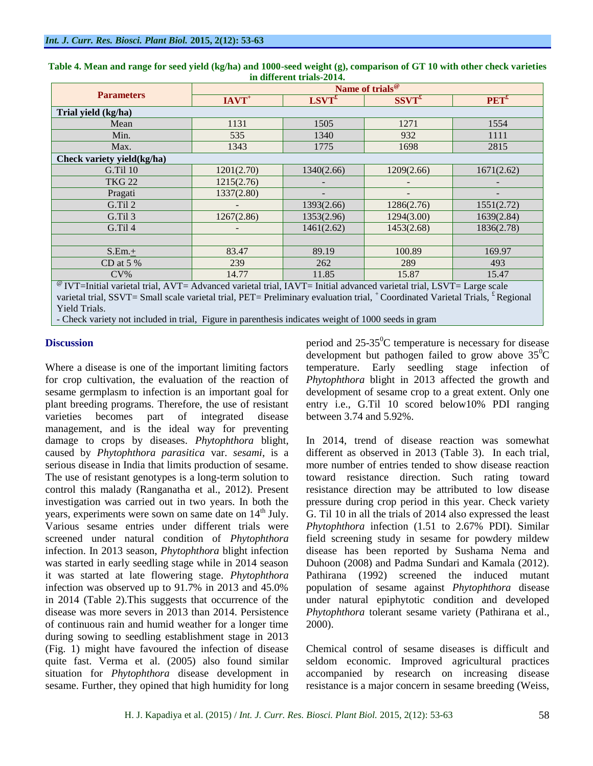|                                                                                                                                 | Name of trials <sup>@</sup><br>$SSVT^{\pounds}$ |            |            |                  |  |  |  |  |
|---------------------------------------------------------------------------------------------------------------------------------|-------------------------------------------------|------------|------------|------------------|--|--|--|--|
| <b>Parameters</b>                                                                                                               | $IAVT^+$                                        | $LSVT^f$   |            | PET <sup>f</sup> |  |  |  |  |
| Trial yield (kg/ha)                                                                                                             |                                                 |            |            |                  |  |  |  |  |
| Mean                                                                                                                            | 1131                                            | 1505       | 1271       | 1554             |  |  |  |  |
| Min.                                                                                                                            | 535                                             | 1340       | 932        | 1111             |  |  |  |  |
| Max.                                                                                                                            | 1343                                            | 1775       | 1698       | 2815             |  |  |  |  |
| Check variety yield(kg/ha)                                                                                                      |                                                 |            |            |                  |  |  |  |  |
| <b>G.Til 10</b>                                                                                                                 | 1201(2.70)                                      | 1340(2.66) | 1209(2.66) | 1671(2.62)       |  |  |  |  |
| <b>TKG 22</b>                                                                                                                   | 1215(2.76)                                      |            |            |                  |  |  |  |  |
| Pragati                                                                                                                         | 1337(2.80)                                      | -          |            |                  |  |  |  |  |
| G.Til 2                                                                                                                         |                                                 | 1393(2.66) | 1286(2.76) | 1551(2.72)       |  |  |  |  |
| G.Til 3                                                                                                                         | 1267(2.86)                                      | 1353(2.96) | 1294(3.00) | 1639(2.84)       |  |  |  |  |
| G.Til 4                                                                                                                         |                                                 | 1461(2.62) | 1453(2.68) | 1836(2.78)       |  |  |  |  |
|                                                                                                                                 |                                                 |            |            |                  |  |  |  |  |
| $S.Em. \pm$                                                                                                                     | 83.47                                           | 89.19      | 100.89     | 169.97           |  |  |  |  |
| CD at 5 %                                                                                                                       | 239                                             | 262        | 289        | 493              |  |  |  |  |
| $CV\%$                                                                                                                          | 14.77                                           | 11.85      | 15.87      | 15.47            |  |  |  |  |
| <sup>@</sup> IVT=Initial varietal trial, AVT= Advanced varietal trial, IAVT= Initial advanced varietal trial, LSVT= Large scale |                                                 |            |            |                  |  |  |  |  |

**Table 4. Mean and range for seed yield (kg/ha) and 1000-seed weight (g), comparison of GT 10 with other check varieties in different trials-2014.**

varietal trial, SSVT= Small scale varietal trial, PET= Preliminary evaluation trial, +Coordinated Varietal Trials, <sup>£</sup> Regional Yield Trials.

- Check variety not included in trial, Figure in parenthesis indicates weight of 1000 seeds in gram

# **Discussion**

Where a disease is one of the important limiting factors for crop cultivation, the evaluation of the reaction of sesame germplasm to infection is an important goal for plant breeding programs. Therefore, the use of resistant varieties becomes part of integrated disease management, and is the ideal way for preventing damage to crops by diseases. *Phytophthora* blight, caused by *Phytophthora parasitica* var. *sesami*, is a serious disease in India that limits production of sesame. The use of resistant genotypes is a long-term solution to control this malady (Ranganatha et al., 2012). Present investigation was carried out in two years. In both the years, experiments were sown on same date on  $14<sup>th</sup>$  July. Various sesame entries under different trials were screened under natural condition of *Phytophthora* infection. In 2013 season, *Phytophthora* blight infection was started in early seedling stage while in 2014 season it was started at late flowering stage. *Phytophthora* infection was observed up to 91.7% in 2013 and 45.0% in 2014 (Table 2).This suggests that occurrence of the disease was more severs in 2013 than 2014. Persistence of continuous rain and humid weather for a longer time during sowing to seedling establishment stage in 2013 (Fig. 1) might have favoured the infection of disease quite fast. Verma et al. (2005) also found similar situation for *Phytophthora* disease development in sesame. Further, they opined that high humidity for long

period and  $25-35^{\circ}$ C temperature is necessary for disease development but pathogen failed to grow above  $35^{\circ}$ C temperature. Early seedling stage infection of *Phytophthora* blight in 2013 affected the growth and development of sesame crop to a great extent. Only one entry i.e., G.Til 10 scored below10% PDI ranging between 3.74 and 5.92%.

In 2014, trend of disease reaction was somewhat different as observed in 2013 (Table 3). In each trial, more number of entries tended to show disease reaction toward resistance direction. Such rating toward resistance direction may be attributed to low disease pressure during crop period in this year. Check variety G. Til 10 in all the trials of 2014 also expressed the least *Phytophthora* infection (1.51 to 2.67% PDI). Similar field screening study in sesame for powdery mildew disease has been reported by Sushama Nema and Duhoon (2008) and Padma Sundari and Kamala (2012). Pathirana (1992) screened the induced mutant population of sesame against *Phytophthora* disease under natural epiphytotic condition and developed *Phytophthora* tolerant sesame variety (Pathirana et al., 2000).

Chemical control of sesame diseases is difficult and seldom economic. Improved agricultural practices accompanied by research on increasing disease resistance is a major concern in sesame breeding (Weiss,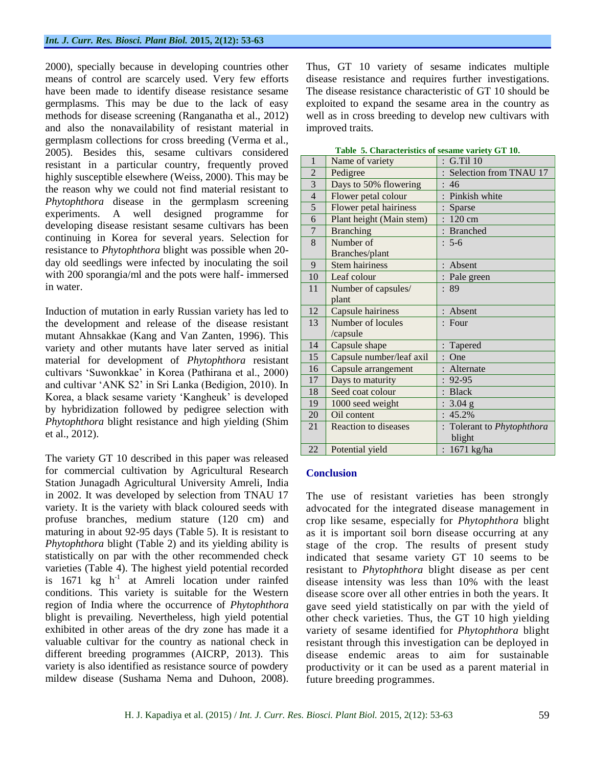2000), specially because in developing countries other means of control are scarcely used. Very few efforts have been made to identify disease resistance sesame germplasms. This may be due to the lack of easy methods for disease screening (Ranganatha et al., 2012) and also the nonavailability of resistant material in germplasm collections for cross breeding (Verma et al., 2005). Besides this, sesame cultivars considered resistant in a particular country, frequently proved highly susceptible elsewhere (Weiss, 2000). This may be the reason why we could not find material resistant to *Phytophthora* disease in the germplasm screening experiments. A well designed programme for developing disease resistant sesame cultivars has been continuing in Korea for several years. Selection for resistance to *Phytophthora* blight was possible when 20 day old seedlings were infected by inoculating the soil with 200 sporangia/ml and the pots were half- immersed in water.

Induction of mutation in early Russian variety has led to the development and release of the disease resistant mutant Ahnsakkae (Kang and Van Zanten, 1996). This variety and other mutants have later served as initial material for development of *Phytophthora* resistant cultivars 'Suwonkkae' in Korea (Pathirana et al., 2000) and cultivar 'ANK S2' in Sri Lanka (Bedigion, 2010). In Korea, a black sesame variety 'Kangheuk' is developed by hybridization followed by pedigree selection with *Phytophthora* blight resistance and high yielding (Shim et al., 2012).

The variety GT 10 described in this paper was released for commercial cultivation by Agricultural Research Station Junagadh Agricultural University Amreli, India in 2002. It was developed by selection from TNAU 17 variety. It is the variety with black coloured seeds with profuse branches, medium stature (120 cm) and maturing in about 92-95 days (Table 5). It is resistant to *Phytophthora* blight (Table 2) and its yielding ability is statistically on par with the other recommended check varieties (Table 4). The highest yield potential recorded is  $1671$  kg h<sup>-1</sup> at Amreli location under rainfed conditions. This variety is suitable for the Western region of India where the occurrence of *Phytophthora* blight is prevailing. Nevertheless, high yield potential exhibited in other areas of the dry zone has made it a valuable cultivar for the country as national check in different breeding programmes (AICRP, 2013). This variety is also identified as resistance source of powdery mildew disease (Sushama Nema and Duhoon, 2008).

Thus, GT 10 variety of sesame indicates multiple disease resistance and requires further investigations. The disease resistance characteristic of GT 10 should be exploited to expand the sesame area in the country as well as in cross breeding to develop new cultivars with improved traits.

| 1              | Name of variety             | G.Til 10                   |
|----------------|-----------------------------|----------------------------|
| $\overline{2}$ | Pedigree                    | Selection from TNAU 17     |
| $\overline{3}$ | Days to 50% flowering       | -46                        |
| $\overline{4}$ | Flower petal colour         | Pinkish white              |
| $\overline{5}$ | Flower petal hairiness      | Sparse                     |
| 6              | Plant height (Main stem)    | $120 \text{ cm}$           |
| $\overline{7}$ | <b>Branching</b>            | : Branched                 |
| 8              | Number of                   | $: 5-6$                    |
|                | Branches/plant              |                            |
| 9              | <b>Stem hairiness</b>       | Absent                     |
| 10             | Leaf colour                 | : Pale green               |
| 11             | Number of capsules/         | : 89                       |
|                | plant                       |                            |
| 12             | Capsule hairiness           | : Absent                   |
| 13             | Number of locules           | $:$ Four                   |
|                | /capsule                    |                            |
| 14             | Capsule shape               | Tapered                    |
| 15             | Capsule number/leaf axil    | One                        |
| 16             | Capsule arrangement         | Alternate                  |
| 17             | Days to maturity            | 92-95                      |
| 18             | Seed coat colour            | : Black                    |
| 19             | 1000 seed weight            | $3.04$ g<br>$\ddot{\cdot}$ |
| 20             | Oil content                 | 45.2%<br>$\ddot{\cdot}$    |
| 21             | <b>Reaction to diseases</b> | : Tolerant to Phytophthora |
|                |                             | blight                     |
| 22             | Potential yield             | 1671 kg/ha                 |

### **Table 5. Characteristics of sesame variety GT 10.**

### **Conclusion**

The use of resistant varieties has been strongly advocated for the integrated disease management in crop like sesame, especially for *Phytophthora* blight as it is important soil born disease occurring at any stage of the crop. The results of present study indicated that sesame variety GT 10 seems to be resistant to *Phytophthora* blight disease as per cent disease intensity was less than 10% with the least disease score over all other entries in both the years. It gave seed yield statistically on par with the yield of other check varieties. Thus, the GT 10 high yielding variety of sesame identified for *Phytophthora* blight resistant through this investigation can be deployed in disease endemic areas to aim for sustainable productivity or it can be used as a parent material in future breeding programmes.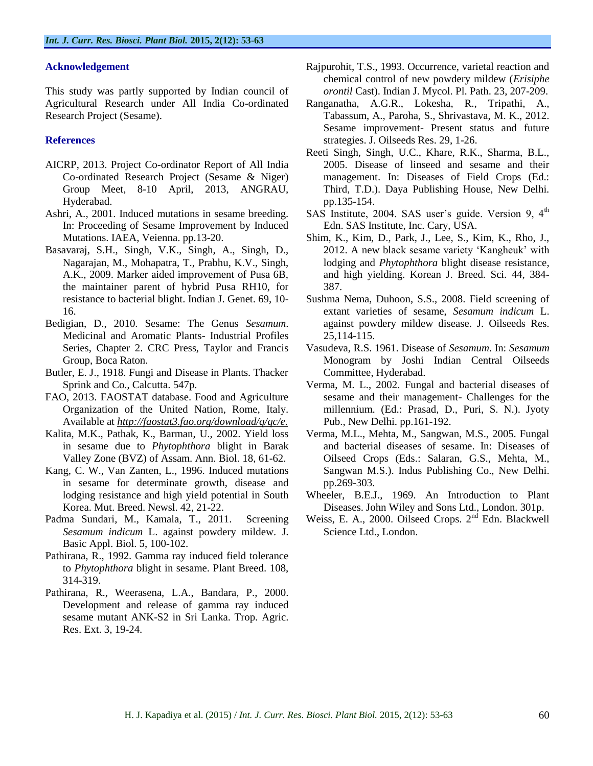## **Acknowledgement**

This study was partly supported by Indian council of Agricultural Research under All India Co-ordinated Research Project (Sesame).

### **References**

- AICRP, 2013. Project Co-ordinator Report of All India Co-ordinated Research Project (Sesame & Niger) Group Meet, 8-10 April, 2013, ANGRAU, Hyderabad.
- Ashri, A., 2001. Induced mutations in sesame breeding. In: Proceeding of Sesame Improvement by Induced Mutations. IAEA, Veienna. pp.13-20.
- Basavaraj, S.H., Singh, V.K., Singh, A., Singh, D., Nagarajan, M., Mohapatra, T., Prabhu, K.V., Singh, A.K., 2009. Marker aided improvement of Pusa 6B, the maintainer parent of hybrid Pusa RH10, for resistance to bacterial blight. Indian J. Genet. 69, 10- 16.
- Bedigian, D., 2010. Sesame: The Genus *Sesamum*. Medicinal and Aromatic Plants- Industrial Profiles Series, Chapter 2. CRC Press, Taylor and Francis Group, Boca Raton.
- Butler, E. J., 1918. Fungi and Disease in Plants. Thacker Sprink and Co., Calcutta. 547p.
- FAO, 2013. FAOSTAT database. Food and Agriculture Organization of the United Nation, Rome, Italy. Available at *http://faostat3.fao.org/download/q/qc/e.*
- Kalita, M.K., Pathak, K., Barman, U., 2002. Yield loss in sesame due to *Phytophthora* blight in Barak Valley Zone (BVZ) of Assam. Ann. Biol. 18, 61-62.
- Kang, C. W., Van Zanten, L., 1996. Induced mutations in sesame for determinate growth, disease and lodging resistance and high yield potential in South Korea. Mut. Breed. Newsl. 42, 21-22.
- Padma Sundari, M., Kamala, T., 2011. Screening *Sesamum indicum* L. against powdery mildew. J. Basic Appl. Biol. 5, 100-102.
- Pathirana, R., 1992. Gamma ray induced field tolerance to *Phytophthora* blight in sesame. Plant Breed. 108, 314-319.
- Pathirana, R., Weerasena, L.A., Bandara, P., 2000. Development and release of gamma ray induced sesame mutant ANK-S2 in Sri Lanka. Trop. Agric. Res. Ext. 3, 19-24.
- Rajpurohit, T.S., 1993. Occurrence, varietal reaction and chemical control of new powdery mildew (*Erisiphe orontil* Cast). Indian J. Mycol. Pl. Path. 23, 207-209.
- Ranganatha, A.G.R., Lokesha, R., Tripathi, A., Tabassum, A., Paroha, S., Shrivastava, M. K., 2012. Sesame improvement- Present status and future strategies. J. Oilseeds Res. 29, 1-26.
- Reeti Singh, Singh, U.C., Khare, R.K., Sharma, B.L., 2005. Disease of linseed and sesame and their management. In: Diseases of Field Crops (Ed.: Third, T.D.). Daya Publishing House, New Delhi. pp.135-154.
- SAS Institute, 2004. SAS user's guide. Version 9, 4<sup>th</sup> Edn. SAS Institute, Inc. Cary, USA.
- Shim, K., Kim, D., Park, J., Lee, S., Kim, K., Rho, J., 2012. A new black sesame variety 'Kangheuk' with lodging and *Phytophthora* blight disease resistance, and high yielding. Korean J. Breed. Sci. 44, 384- 387.
- Sushma Nema, Duhoon, S.S., 2008. Field screening of extant varieties of sesame, *Sesamum indicum* L. against powdery mildew disease. J. Oilseeds Res. 25,114-115.
- Vasudeva, R.S. 1961. Disease of *Sesamum*. In: *Sesamum* Monogram by Joshi Indian Central Oilseeds Committee, Hyderabad.
- Verma, M. L., 2002. Fungal and bacterial diseases of sesame and their management- Challenges for the millennium. (Ed.: Prasad, D., Puri, S. N.). Jyoty Pub., New Delhi. pp.161-192.
- Verma, M.L., Mehta, M., Sangwan, M.S., 2005. Fungal and bacterial diseases of sesame. In: Diseases of Oilseed Crops (Eds.: Salaran, G.S., Mehta, M., Sangwan M.S.). Indus Publishing Co., New Delhi. pp.269-303.
- Wheeler, B.E.J., 1969. An Introduction to Plant Diseases. John Wiley and Sons Ltd., London. 301p.
- Weiss, E. A., 2000. Oilseed Crops. 2<sup>nd</sup> Edn. Blackwell Science Ltd., London.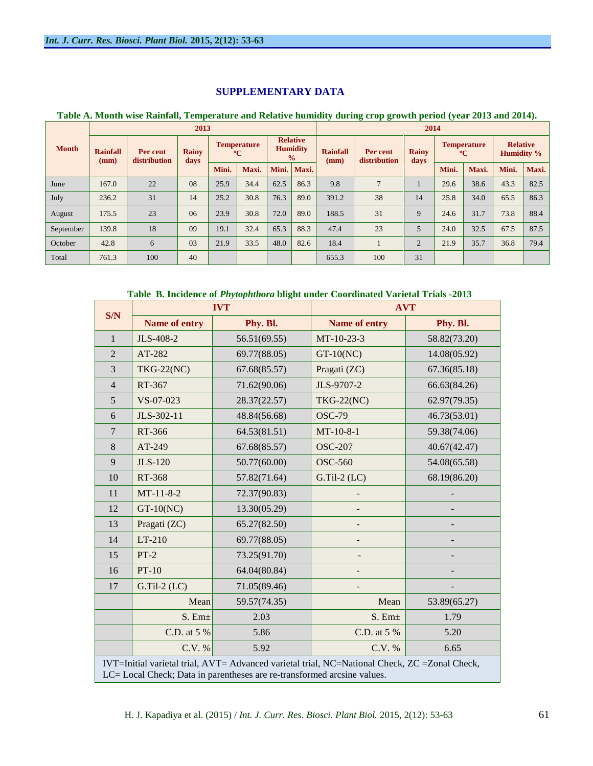# **SUPPLEMENTARY DATA**

## **Table A. Month wise Rainfall, Temperature and Relative humidity during crop growth period (year 2013 and 2014).**

|              | 2013                    |                          |                      |                                                                                          |       |       | 2014                    |                          |                      |                                   |       |       |                                      |       |
|--------------|-------------------------|--------------------------|----------------------|------------------------------------------------------------------------------------------|-------|-------|-------------------------|--------------------------|----------------------|-----------------------------------|-------|-------|--------------------------------------|-------|
| <b>Month</b> | <b>Rainfall</b><br>(mm) | Per cent<br>distribution | <b>Rainy</b><br>days | <b>Relative</b><br><b>Temperature</b><br><b>Humidity</b><br>$\rm ^{o}C$<br>$\frac{0}{0}$ |       |       | <b>Rainfall</b><br>(mm) | Per cent<br>distribution | <b>Rainy</b><br>days | <b>Temperature</b><br>$\rm ^{o}C$ |       |       | <b>Relative</b><br><b>Humidity %</b> |       |
|              |                         |                          |                      | Mini.                                                                                    | Maxi. | Mini. | Maxi.                   |                          |                      |                                   | Mini. | Maxi. | Mini.                                | Maxi. |
| June         | 167.0                   | 22                       | 08                   | 25.9                                                                                     | 34.4  | 62.5  | 86.3                    | 9.8                      | $\mathbf{r}$         |                                   | 29.6  | 38.6  | 43.3                                 | 82.5  |
| July         | 236.2                   | 31                       | 14                   | 25.2                                                                                     | 30.8  | 76.3  | 89.0                    | 391.2                    | 38                   | 14                                | 25.8  | 34.0  | 65.5                                 | 86.3  |
| August       | 175.5                   | 23                       | 06                   | 23.9                                                                                     | 30.8  | 72.0  | 89.0                    | 188.5                    | 31                   | 9                                 | 24.6  | 31.7  | 73.8                                 | 88.4  |
| September    | 139.8                   | 18                       | 09                   | 19.1                                                                                     | 32.4  | 65.3  | 88.3                    | 47.4                     | 23                   | 5                                 | 24.0  | 32.5  | 67.5                                 | 87.5  |
| October      | 42.8                    | 6                        | 03                   | 21.9                                                                                     | 33.5  | 48.0  | 82.6                    | 18.4                     |                      | $\overline{2}$                    | 21.9  | 35.7  | 36.8                                 | 79.4  |
| Total        | 761.3                   | 100                      | 40                   |                                                                                          |       |       |                         | 655.3                    | 100                  | 31                                |       |       |                                      |       |

# **Table B. Incidence of** *Phytophthora* **blight under Coordinated Varietal Trials** *-***2013**

| S/N            |                   | <b>IVT</b>                                                                                     | <b>AVT</b>         |              |  |  |
|----------------|-------------------|------------------------------------------------------------------------------------------------|--------------------|--------------|--|--|
|                | Name of entry     | Phy. Bl.                                                                                       | Name of entry      | Phy. Bl.     |  |  |
| $\mathbf{1}$   | JLS-408-2         | 56.51(69.55)                                                                                   | MT-10-23-3         | 58.82(73.20) |  |  |
| $\overline{2}$ | AT-282            | 69.77(88.05)                                                                                   | $GT-10(NC)$        | 14.08(05.92) |  |  |
| $\overline{3}$ | <b>TKG-22(NC)</b> | 67.68(85.57)                                                                                   | Pragati (ZC)       | 67.36(85.18) |  |  |
| $\overline{4}$ | RT-367            | 71.62(90.06)                                                                                   | JLS-9707-2         | 66.63(84.26) |  |  |
| 5              | VS-07-023         | 28.37(22.57)                                                                                   | <b>TKG-22(NC)</b>  | 62.97(79.35) |  |  |
| 6              | JLS-302-11        | 48.84(56.68)                                                                                   | <b>OSC-79</b>      | 46.73(53.01) |  |  |
| $\overline{7}$ | RT-366            | 64.53(81.51)                                                                                   | $MT-10-8-1$        | 59.38(74.06) |  |  |
| 8              | AT-249            | 67.68(85.57)                                                                                   | <b>OSC-207</b>     | 40.67(42.47) |  |  |
| 9              | <b>JLS-120</b>    | 50.77(60.00)                                                                                   | <b>OSC-560</b>     | 54.08(65.58) |  |  |
| 10             | RT-368            | 57.82(71.64)                                                                                   | $G.Til-2$ (LC)     | 68.19(86.20) |  |  |
| 11             | $MT-11-8-2$       | 72.37(90.83)                                                                                   |                    |              |  |  |
| 12             | $GT-10(NC)$       | 13.30(05.29)                                                                                   |                    |              |  |  |
| 13             | Pragati (ZC)      | 65.27(82.50)                                                                                   |                    |              |  |  |
| 14             | $LT-210$          | 69.77(88.05)                                                                                   |                    |              |  |  |
| 15             | $PT-2$            | 73.25(91.70)                                                                                   |                    |              |  |  |
| 16             | $PT-10$           | 64.04(80.84)                                                                                   |                    |              |  |  |
| 17             | $G.Til-2$ (LC)    | 71.05(89.46)                                                                                   |                    |              |  |  |
|                | Mean              | 59.57(74.35)                                                                                   | Mean               | 53.89(65.27) |  |  |
|                | $S.$ Em $\pm$     | 2.03                                                                                           | S. Em <sub>±</sub> | 1.79         |  |  |
|                | C.D. at 5 %       | 5.86                                                                                           | C.D. at 5 %        | 5.20         |  |  |
|                | C.V. %            | 5.92                                                                                           | C.V. %             | 6.65         |  |  |
|                |                   | IVT=Initial varietal trial, AVT= Advanced varietal trial, NC=National Check, ZC = Zonal Check, |                    |              |  |  |
|                |                   | LC= Local Check; Data in parentheses are re-transformed arcsine values.                        |                    |              |  |  |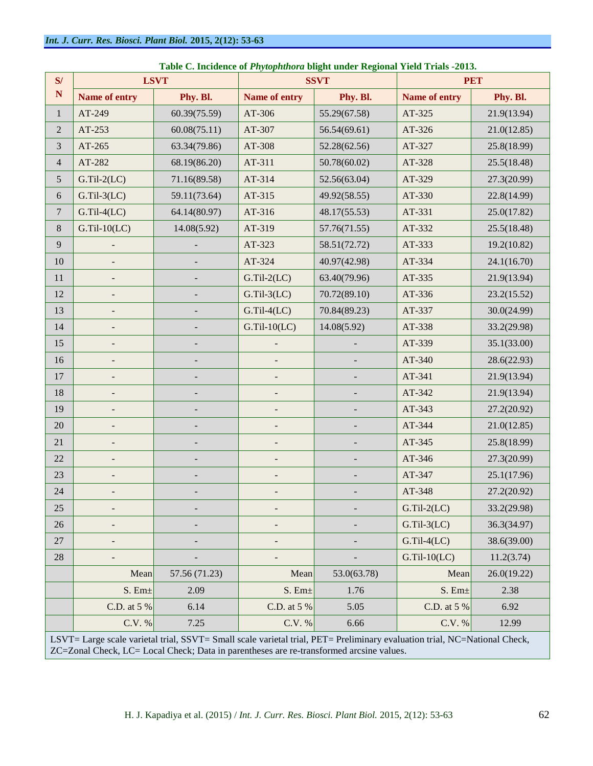| S/             | <b>LSVT</b>    |                          |                          | <b>SSVT</b>  | <b>PET</b>     |                                                                                                                           |  |  |  |  |  |  |  |  |
|----------------|----------------|--------------------------|--------------------------|--------------|----------------|---------------------------------------------------------------------------------------------------------------------------|--|--|--|--|--|--|--|--|
| ${\bf N}$      | Name of entry  | Phy. Bl.                 | Name of entry            | Phy. Bl.     | Name of entry  | Phy. Bl.                                                                                                                  |  |  |  |  |  |  |  |  |
| $\mathbf{1}$   | AT-249         | 60.39(75.59)             | AT-306                   | 55.29(67.58) | AT-325         | 21.9(13.94)                                                                                                               |  |  |  |  |  |  |  |  |
| $\mathbf{2}$   | AT-253         | 60.08(75.11)             | AT-307                   | 56.54(69.61) | AT-326         | 21.0(12.85)                                                                                                               |  |  |  |  |  |  |  |  |
| 3              | AT-265         | 63.34(79.86)             | AT-308                   | 52.28(62.56) | AT-327         | 25.8(18.99)                                                                                                               |  |  |  |  |  |  |  |  |
| $\overline{4}$ | AT-282         | 68.19(86.20)             | AT-311                   | 50.78(60.02) | AT-328         | 25.5(18.48)                                                                                                               |  |  |  |  |  |  |  |  |
| $\mathfrak{S}$ | $G.Til-2(LC)$  | 71.16(89.58)             | AT-314                   | 52.56(63.04) | AT-329         | 27.3(20.99)                                                                                                               |  |  |  |  |  |  |  |  |
| $\sqrt{6}$     | $G.Til-3(LC)$  | 59.11(73.64)             | AT-315                   | 49.92(58.55) | AT-330         | 22.8(14.99)                                                                                                               |  |  |  |  |  |  |  |  |
| $\overline{7}$ | $G.Til-4(LC)$  | 64.14(80.97)             | AT-316                   | 48.17(55.53) | AT-331         | 25.0(17.82)                                                                                                               |  |  |  |  |  |  |  |  |
| $8\,$          | $G.Til-10(LC)$ | 14.08(5.92)              | AT-319                   | 57.76(71.55) | AT-332         | 25.5(18.48)                                                                                                               |  |  |  |  |  |  |  |  |
| 9              |                |                          | AT-323                   | 58.51(72.72) | AT-333         | 19.2(10.82)                                                                                                               |  |  |  |  |  |  |  |  |
| 10             |                |                          | AT-324                   | 40.97(42.98) | AT-334         | 24.1(16.70)                                                                                                               |  |  |  |  |  |  |  |  |
| 11             |                |                          | $G.Til-2(LC)$            | 63.40(79.96) | AT-335         | 21.9(13.94)                                                                                                               |  |  |  |  |  |  |  |  |
| 12             |                |                          | $G.Til-3(LC)$            | 70.72(89.10) | AT-336         | 23.2(15.52)                                                                                                               |  |  |  |  |  |  |  |  |
| 13             |                |                          | $G.Til-4(LC)$            | 70.84(89.23) | AT-337         | 30.0(24.99)                                                                                                               |  |  |  |  |  |  |  |  |
| 14             | $\overline{a}$ |                          | $G.Til-10(LC)$           | 14.08(5.92)  | AT-338         | 33.2(29.98)                                                                                                               |  |  |  |  |  |  |  |  |
| 15             |                |                          |                          |              | AT-339         | 35.1(33.00)                                                                                                               |  |  |  |  |  |  |  |  |
| 16             |                | $\overline{\phantom{m}}$ |                          |              | AT-340         | 28.6(22.93)                                                                                                               |  |  |  |  |  |  |  |  |
| $17\,$         |                |                          |                          |              | AT-341         | 21.9(13.94)                                                                                                               |  |  |  |  |  |  |  |  |
| 18             |                |                          |                          |              | AT-342         | 21.9(13.94)                                                                                                               |  |  |  |  |  |  |  |  |
| 19             |                |                          | $\overline{\phantom{a}}$ |              | AT-343         | 27.2(20.92)                                                                                                               |  |  |  |  |  |  |  |  |
| 20             |                |                          | $\overline{a}$           |              | AT-344         | 21.0(12.85)                                                                                                               |  |  |  |  |  |  |  |  |
| 21             |                |                          |                          |              | AT-345         | 25.8(18.99)                                                                                                               |  |  |  |  |  |  |  |  |
| 22             |                |                          |                          |              | AT-346         | 27.3(20.99)                                                                                                               |  |  |  |  |  |  |  |  |
| 23             |                |                          |                          |              | AT-347         | 25.1(17.96)                                                                                                               |  |  |  |  |  |  |  |  |
| 24             |                |                          |                          |              | AT-348         | 27.2(20.92)                                                                                                               |  |  |  |  |  |  |  |  |
| 25             |                |                          |                          |              | $G.Til-2(LC)$  | 33.2(29.98)                                                                                                               |  |  |  |  |  |  |  |  |
| 26             |                |                          | $\overline{a}$           |              | $G.Til-3(LC)$  | 36.3(34.97)                                                                                                               |  |  |  |  |  |  |  |  |
| 27             |                |                          |                          |              | $G.Til-4(LC)$  | 38.6(39.00)                                                                                                               |  |  |  |  |  |  |  |  |
| 28             |                |                          |                          |              | $G.Til-10(LC)$ | 11.2(3.74)                                                                                                                |  |  |  |  |  |  |  |  |
|                | Mean           | 57.56 (71.23)            | Mean                     | 53.0(63.78)  | Mean           | 26.0(19.22)                                                                                                               |  |  |  |  |  |  |  |  |
|                | $S.$ Em $\pm$  | 2.09                     | $S.$ Em $\pm$            | 1.76         | $S.$ Em $\pm$  | 2.38                                                                                                                      |  |  |  |  |  |  |  |  |
|                | C.D. at 5 %    | 6.14                     | C.D. at 5 %              | 5.05         | C.D. at 5 %    | 6.92                                                                                                                      |  |  |  |  |  |  |  |  |
|                | C.V. %         | 7.25                     | C.V. %                   | 6.66         | C.V. %         | 12.99                                                                                                                     |  |  |  |  |  |  |  |  |
|                |                |                          |                          |              |                | LSVT= Large scale varietal trial, SSVT= Small scale varietal trial, PET= Preliminary evaluation trial, NC=National Check, |  |  |  |  |  |  |  |  |

|  |  |  | Table C. Incidence of Phytophthora blight under Regional Yield Trials -2013. |  |
|--|--|--|------------------------------------------------------------------------------|--|
|--|--|--|------------------------------------------------------------------------------|--|

LSVT= Large scale varietal trial, SSVT= Small scale varietal trial, PET= Preliminary evaluation trial, NC=National Check, ZC=Zonal Check, LC= Local Check; Data in parentheses are re-transformed arcsine values.